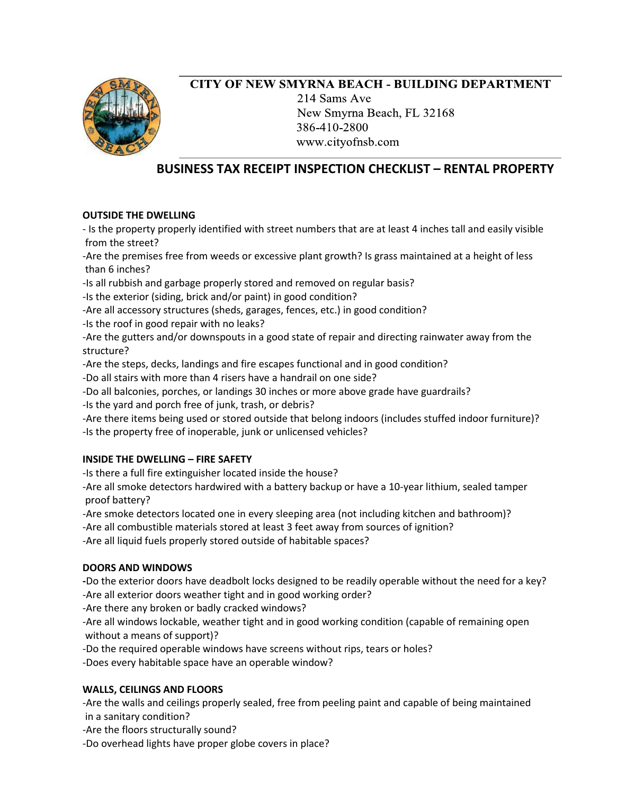

## **CITY OF NEW SMYRNA BEACH - BUILDING DEPARTMENT** 214 Sams Ave New Smyrna Beach, FL 32168 386-410-2800 www.cityofnsb.com

# **BUSINESS TAX RECEIPT INSPECTION CHECKLIST – RENTAL PROPERTY**

## **OUTSIDE THE DWELLING**

- Is the property properly identified with street numbers that are at least 4 inches tall and easily visible from the street?

-Are the premises free from weeds or excessive plant growth? Is grass maintained at a height of less than 6 inches?

-Is all rubbish and garbage properly stored and removed on regular basis?

-Is the exterior (siding, brick and/or paint) in good condition?

-Are all accessory structures (sheds, garages, fences, etc.) in good condition?

-Is the roof in good repair with no leaks?

-Are the gutters and/or downspouts in a good state of repair and directing rainwater away from the structure?

-Are the steps, decks, landings and fire escapes functional and in good condition?

-Do all stairs with more than 4 risers have a handrail on one side?

-Do all balconies, porches, or landings 30 inches or more above grade have guardrails?

-Is the yard and porch free of junk, trash, or debris?

-Are there items being used or stored outside that belong indoors (includes stuffed indoor furniture)? -Is the property free of inoperable, junk or unlicensed vehicles?

## **INSIDE THE DWELLING – FIRE SAFETY**

-Is there a full fire extinguisher located inside the house?

-Are all smoke detectors hardwired with a battery backup or have a 10-year lithium, sealed tamper proof battery?

-Are smoke detectors located one in every sleeping area (not including kitchen and bathroom)?

-Are all combustible materials stored at least 3 feet away from sources of ignition?

-Are all liquid fuels properly stored outside of habitable spaces?

## **DOORS AND WINDOWS**

**-**Do the exterior doors have deadbolt locks designed to be readily operable without the need for a key? -Are all exterior doors weather tight and in good working order?

-Are there any broken or badly cracked windows?

-Are all windows lockable, weather tight and in good working condition (capable of remaining open without a means of support)?

-Do the required operable windows have screens without rips, tears or holes?

-Does every habitable space have an operable window?

## **WALLS, CEILINGS AND FLOORS**

-Are the walls and ceilings properly sealed, free from peeling paint and capable of being maintained in a sanitary condition?

-Are the floors structurally sound?

-Do overhead lights have proper globe covers in place?